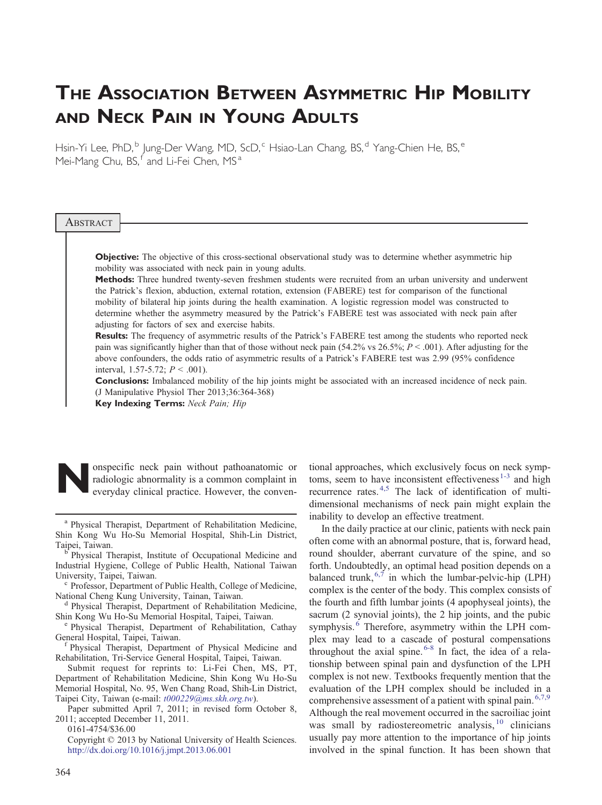# THE ASSOCIATION BETWEEN ASYMMETRIC HIP MOBILITY AND NECK PAIN IN YOUNG ADULTS

Hsin-Yi Lee, PhD,<sup>b</sup> Jung-Der Wang, MD, ScD,<sup>c</sup> Hsiao-Lan Chang, BS,<sup>d</sup> Yang-Chien He, BS,<sup>e</sup> Mei-Mang Chu, BS,<sup>f</sup> and Li-Fei Chen, MS<sup>a</sup>

### **ABSTRACT**

**Objective:** The objective of this cross-sectional observational study was to determine whether asymmetric hip mobility was associated with neck pain in young adults.

Methods: Three hundred twenty-seven freshmen students were recruited from an urban university and underwent the Patrick's flexion, abduction, external rotation, extension (FABERE) test for comparison of the functional mobility of bilateral hip joints during the health examination. A logistic regression model was constructed to determine whether the asymmetry measured by the Patrick's FABERE test was associated with neck pain after adjusting for factors of sex and exercise habits.

Results: The frequency of asymmetric results of the Patrick's FABERE test among the students who reported neck pain was significantly higher than that of those without neck pain (54.2% vs 26.5%;  $P < .001$ ). After adjusting for the above confounders, the odds ratio of asymmetric results of a Patrick's FABERE test was 2.99 (95% confidence interval, 1.57-5.72;  $P < .001$ ).

Conclusions: Imbalanced mobility of the hip joints might be associated with an increased incidence of neck pain. (J Manipulative Physiol Ther 2013;36:364-368)

Key Indexing Terms: Neck Pain; Hip



**Exercise System System System System System System System System System System System System System System System System System System System System System System System System System System System System System System Sy** radiologic abnormality is a common complaint in everyday clinical practice. However, the conven-

<sup>b</sup> Physical Therapist, Institute of Occupational Medicine and Industrial Hygiene, College of Public Health, National Taiwan University, Taipei, Taiwan.<br><sup>c</sup> Professor, Department of Public Health, College of Medicine,

National Cheng Kung University, Tainan, Taiwan. <sup>d</sup> Physical Therapist, Department of Rehabilitation Medicine,

Shin Kong Wu Ho-Su Memorial Hospital, Taipei, Taiwan.<br>e Physical Therapist, Department of Rehabilitation, Cathay General Hospital, Taipei, Taiwan.<br>
<sup>f</sup> Physical Therapist, Department of Physical Medicine and

Rehabilitation, Tri-Service General Hospital, Taipei, Taiwan.

Submit request for reprints to: Li-Fei Chen, MS, PT, Department of Rehabilitation Medicine, Shin Kong Wu Ho-Su Memorial Hospital, No. 95, Wen Chang Road, Shih-Lin District, Taipei City, Taiwan (e-mail: [t000229@ms.skh.org.tw](mailto:t000229@ms.skh.org.tw)).

Paper submitted April 7, 2011; in revised form October 8, 2011; accepted December 11, 2011.

0161-4754/\$36.00

Copyright © 2013 by National University of Health Sciences. <http://dx.doi.org/10.1016/j.jmpt.2013.06.001>

tional approaches, which exclusively focus on neck symptom[s](#page-3-0), seem to have inconsistent effectiveness $1-3$  and high recurrence rates[.](#page-3-0)<sup>[4,5](#page-3-0)</sup> The lack of identification of multidimensional mechanisms of neck pain might explain the inability to develop an effective treatment.

In the daily practice at our clinic, patients with neck pain often come with an abnormal posture, that is, forward head, round shoulder, aberrant curvature of the spine, and so forth. Undoubtedly, an optimal head position depends on a balanced trunk[,](#page-3-0)  $6,7$  in which the lumbar-pelvic-hip (LPH) complex is the center of the body. This complex consists of the fourth and fifth lumbar joints (4 apophyseal joints), the sacrum (2 synovial joints), the 2 hip joints, and the pubic symphysis[.](#page-3-0)<sup>[6](#page-3-0)</sup> Therefore, asymmetry within the LPH complex may lead to a cascade of postural compensations throughout the axial spine[.](#page-3-0)<sup> $6-8$ </sup> In fact, the idea of a relationship between spinal pain and dysfunction of the LPH complex is not new. Textbooks frequently mention that the evaluation of the LPH complex should be included in a comprehensive assessment of a patient with spinal pain[.](#page-3-0) $6,7,9$ Although the real movement occurred in the sacroiliac joint was small by radiostereometric analysis[,](#page-3-0)  $10$  clinicians usually pay more attention to the importance of hip joints involved in the spinal function. It has been shown that

<sup>a</sup> Physical Therapist, Department of Rehabilitation Medicine, Shin Kong Wu Ho-Su Memorial Hospital, Shih-Lin District,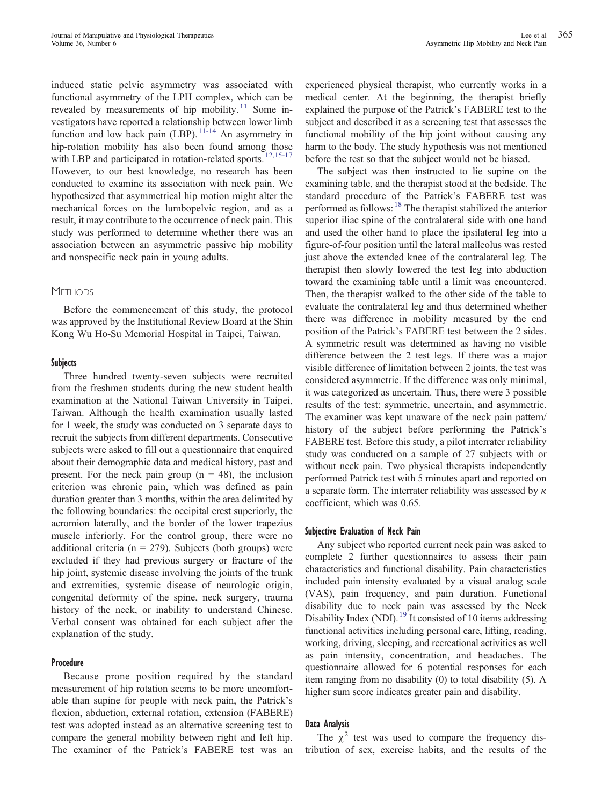induced static pelvic asymmetry was associated with functional asymmetry of the LPH complex, which can be revealed by measurements of hip mobility[.](#page-3-0)<sup>[11](#page-3-0)</sup> Some investigators have reported a relationship between lower limb function and low back pain (LBP)[.](#page-3-0)<sup>[11-14](#page-3-0)</sup> An asymmetry in hip-rotation mobility has also been found among those with LBP and participated in rotation-related sports[.](#page-3-0)<sup>[12,15-17](#page-3-0)</sup> However, to our best knowledge, no research has been conducted to examine its association with neck pain. We hypothesized that asymmetrical hip motion might alter the mechanical forces on the lumbopelvic region, and as a result, it may contribute to the occurrence of neck pain. This study was performed to determine whether there was an association between an asymmetric passive hip mobility and nonspecific neck pain in young adults.

## **METHODS**

Before the commencement of this study, the protocol was approved by the Institutional Review Board at the Shin Kong Wu Ho-Su Memorial Hospital in Taipei, Taiwan.

## Subjects

Three hundred twenty-seven subjects were recruited from the freshmen students during the new student health examination at the National Taiwan University in Taipei, Taiwan. Although the health examination usually lasted for 1 week, the study was conducted on 3 separate days to recruit the subjects from different departments. Consecutive subjects were asked to fill out a questionnaire that enquired about their demographic data and medical history, past and present. For the neck pain group  $(n = 48)$ , the inclusion criterion was chronic pain, which was defined as pain duration greater than 3 months, within the area delimited by the following boundaries: the occipital crest superiorly, the acromion laterally, and the border of the lower trapezius muscle inferiorly. For the control group, there were no additional criteria ( $n = 279$ ). Subjects (both groups) were excluded if they had previous surgery or fracture of the hip joint, systemic disease involving the joints of the trunk and extremities, systemic disease of neurologic origin, congenital deformity of the spine, neck surgery, trauma history of the neck, or inability to understand Chinese. Verbal consent was obtained for each subject after the explanation of the study.

## **Procedure**

Because prone position required by the standard measurement of hip rotation seems to be more uncomfortable than supine for people with neck pain, the Patrick's flexion, abduction, external rotation, extension (FABERE) test was adopted instead as an alternative screening test to compare the general mobility between right and left hip. The examiner of the Patrick's FABERE test was an experienced physical therapist, who currently works in a medical center. At the beginning, the therapist briefly explained the purpose of the Patrick's FABERE test to the subject and described it as a screening test that assesses the functional mobility of the hip joint without causing any harm to the body. The study hypothesis was not mentioned before the test so that the subject would not be biased.

The subject was then instructed to lie supine on the examining table, and the therapist stood at the bedside. The standard procedure of the Patrick's FABERE test was performed as follows[:](#page-4-0)<sup>[18](#page-4-0)</sup> The therapist stabilized the anterior superior iliac spine of the contralateral side with one hand and used the other hand to place the ipsilateral leg into a figure-of-four position until the lateral malleolus was rested just above the extended knee of the contralateral leg. The therapist then slowly lowered the test leg into abduction toward the examining table until a limit was encountered. Then, the therapist walked to the other side of the table to evaluate the contralateral leg and thus determined whether there was difference in mobility measured by the end position of the Patrick's FABERE test between the 2 sides. A symmetric result was determined as having no visible difference between the 2 test legs. If there was a major visible difference of limitation between 2 joints, the test was considered asymmetric. If the difference was only minimal, it was categorized as uncertain. Thus, there were 3 possible results of the test: symmetric, uncertain, and asymmetric. The examiner was kept unaware of the neck pain pattern/ history of the subject before performing the Patrick's FABERE test. Before this study, a pilot interrater reliability study was conducted on a sample of 27 subjects with or without neck pain. Two physical therapists independently performed Patrick test with 5 minutes apart and reported on a separate form. The interrater reliability was assessed by  $\kappa$ coefficient, which was 0.65.

## Subjective Evaluation of Neck Pain

Any subject who reported current neck pain was asked to complete 2 further questionnaires to assess their pain characteristics and functional disability. Pain characteristics included pain intensity evaluated by a visual analog scale (VAS), pain frequency, and pain duration. Functional disability due to neck pain was assessed by the Neck Disability Index (NDI)[.](#page-4-0)<sup>[19](#page-4-0)</sup> It consisted of 10 items addressing functional activities including personal care, lifting, reading, working, driving, sleeping, and recreational activities as well as pain intensity, concentration, and headaches. The questionnaire allowed for 6 potential responses for each item ranging from no disability (0) to total disability (5). A higher sum score indicates greater pain and disability.

## Data Analysis

The  $\chi^2$  test was used to compare the frequency distribution of sex, exercise habits, and the results of the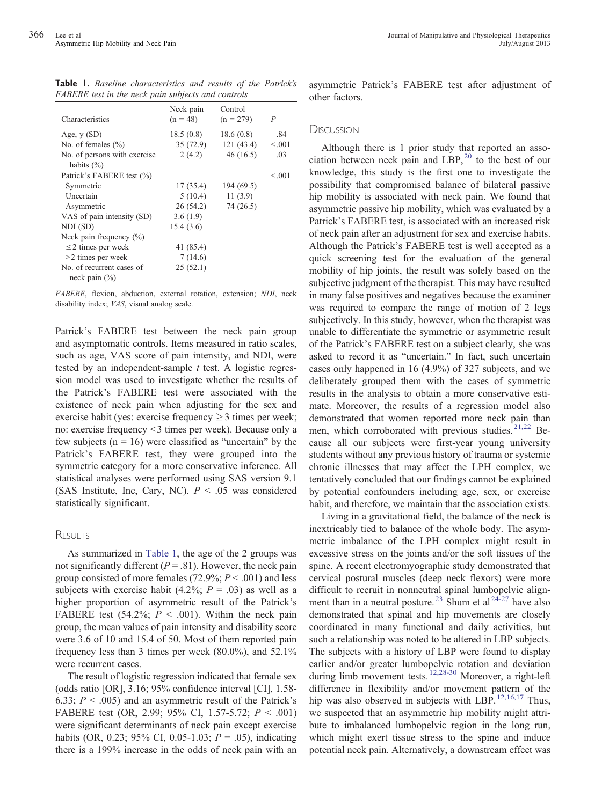| Characteristics              | Neck pain<br>$(n = 48)$ | Control<br>$(n = 279)$ | $\overline{P}$ |
|------------------------------|-------------------------|------------------------|----------------|
| Age, $y(SD)$                 | 18.5(0.8)               | 18.6(0.8)              | .84            |
| No. of females $(\% )$       | 35(72.9)                | 121(43.4)              | < 0.001        |
| No. of persons with exercise | 2(4.2)                  | 46(16.5)               | .03            |
| habits $(\%)$                |                         |                        |                |
| Patrick's FABERE test (%)    |                         |                        | < 0.01         |
| Symmetric                    | 17(35.4)                | 194 (69.5)             |                |
| Uncertain                    | 5(10.4)                 | 11(3.9)                |                |
| Asymmetric                   | 26(54.2)                | 74 (26.5)              |                |
| VAS of pain intensity (SD)   | 3.6(1.9)                |                        |                |
| NDI (SD)                     | 15.4(3.6)               |                        |                |
| Neck pain frequency $(\% )$  |                         |                        |                |
| $\leq$ 2 times per week      | 41 (85.4)               |                        |                |
| $>$ 2 times per week         | 7(14.6)                 |                        |                |
| No. of recurrent cases of    | 25(52.1)                |                        |                |
| neck pain $(\% )$            |                         |                        |                |

Table 1. Baseline characteristics and results of the Patrick's FABERE test in the neck pain subjects and controls

FABERE, flexion, abduction, external rotation, extension; NDI, neck disability index; VAS, visual analog scale.

Patrick's FABERE test between the neck pain group and asymptomatic controls. Items measured in ratio scales, such as age, VAS score of pain intensity, and NDI, were tested by an independent-sample  $t$  test. A logistic regression model was used to investigate whether the results of the Patrick's FABERE test were associated with the existence of neck pain when adjusting for the sex and exercise habit (yes: exercise frequency  $\geq$  3 times per week; no: exercise frequency  $\leq$ 3 times per week). Because only a few subjects ( $n = 16$ ) were classified as "uncertain" by the Patrick's FABERE test, they were grouped into the symmetric category for a more conservative inference. All statistical analyses were performed using SAS version 9.1 (SAS Institute, Inc, Cary, NC).  $P < .05$  was considered statistically significant.

#### **RESULTS**

As summarized in Table 1, the age of the 2 groups was not significantly different ( $P = .81$ ). However, the neck pain group consisted of more females (72.9%;  $P < .001$ ) and less subjects with exercise habit (4.2%;  $P = .03$ ) as well as a higher proportion of asymmetric result of the Patrick's FABERE test (54.2%;  $P < .001$ ). Within the neck pain group, the mean values of pain intensity and disability score were 3.6 of 10 and 15.4 of 50. Most of them reported pain frequency less than 3 times per week (80.0%), and 52.1% were recurrent cases.

The result of logistic regression indicated that female sex (odds ratio [OR], 3.16; 95% confidence interval [CI], 1.58- 6.33;  $P < .005$ ) and an asymmetric result of the Patrick's FABERE test (OR, 2.99; 95% CI, 1.57-5.72;  $P < .001$ ) were significant determinants of neck pain except exercise habits (OR, 0.23; 95% CI, 0.05-1.03;  $P = .05$ ), indicating there is a 199% increase in the odds of neck pain with an asymmetric Patrick's FABERE test after adjustment of other factors.

## **DISCUSSION**

Although there is 1 prior study that reported an association between neck pain and LBP, $^{20}$  $^{20}$  $^{20}$  to the best of our knowledge, this study is the first one to investigate the possibility that compromised balance of bilateral passive hip mobility is associated with neck pain. We found that asymmetric passive hip mobility, which was evaluated by a Patrick's FABERE test, is associated with an increased risk of neck pain after an adjustment for sex and exercise habits. Although the Patrick's FABERE test is well accepted as a quick screening test for the evaluation of the general mobility of hip joints, the result was solely based on the subjective judgment of the therapist. This may have resulted in many false positives and negatives because the examiner was required to compare the range of motion of 2 legs subjectively. In this study, however, when the therapist was unable to differentiate the symmetric or asymmetric result of the Patrick's FABERE test on a subject clearly, she was asked to record it as "uncertain." In fact, such uncertain cases only happened in 16 (4.9%) of 327 subjects, and we deliberately grouped them with the cases of symmetric results in the analysis to obtain a more conservative estimate. Moreover, the results of a regression model also demonstrated that women reported more neck pain than men, which corroborated with previous studies[.](#page-4-0)<sup>[21,22](#page-4-0)</sup> Because all our subjects were first-year young university students without any previous history of trauma or systemic chronic illnesses that may affect the LPH complex, we tentatively concluded that our findings cannot be explained by potential confounders including age, sex, or exercise habit, and therefore, we maintain that the association exists.

Living in a gravitational field, the balance of the neck is inextricably tied to balance of the whole body. The asymmetric imbalance of the LPH complex might result in excessive stress on the joints and/or the soft tissues of the spine. A recent electromyographic study demonstrated that cervical postural muscles (deep neck flexors) were more difficult to recruit in nonneutral spinal lumbopelvic align-ment than in a neutral posture[.](#page-4-0)<sup>[23](#page-4-0)</sup> Shum et a[l](#page-4-0)<sup>[24-27](#page-4-0)</sup> have also demonstrated that spinal and hip movements are closely coordinated in many functional and daily activities, but such a relationship was noted to be altered in LBP subjects. The subjects with a history of LBP were found to display earlier and/or greater lumbopelvic rotation and deviation during limb movement tests[.](#page-3-0) <sup>[12,28-30](#page-3-0)</sup> Moreover, a right-left difference in flexibility and/or movement pattern of the hip was also observed in subjects with LBP[.](#page-3-0)<sup>[12,16,17](#page-3-0)</sup> Thus, we suspected that an asymmetric hip mobility might attribute to imbalanced lumbopelvic region in the long run, which might exert tissue stress to the spine and induce potential neck pain. Alternatively, a downstream effect was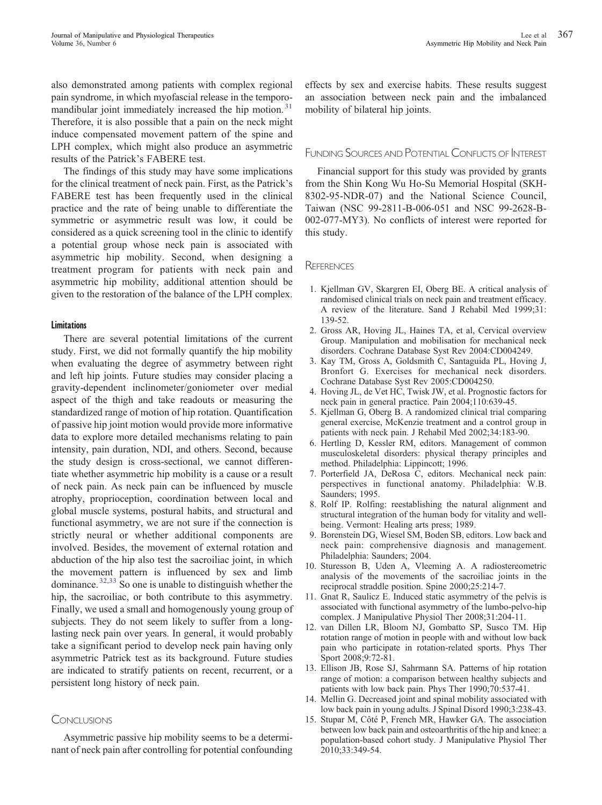<span id="page-3-0"></span>also demonstrated among patients with complex regional pain syndrome, in which myofascial release in the temporo-mandibular joint immediately increased the hip motion[.](#page-4-0)<sup>[31](#page-4-0)</sup> Therefore, it is also possible that a pain on the neck might induce compensated movement pattern of the spine and LPH complex, which might also produce an asymmetric results of the Patrick's FABERE test.

The findings of this study may have some implications for the clinical treatment of neck pain. First, as the Patrick's FABERE test has been frequently used in the clinical practice and the rate of being unable to differentiate the symmetric or asymmetric result was low, it could be considered as a quick screening tool in the clinic to identify a potential group whose neck pain is associated with asymmetric hip mobility. Second, when designing a treatment program for patients with neck pain and asymmetric hip mobility, additional attention should be given to the restoration of the balance of the LPH complex.

#### Limitations

There are several potential limitations of the current study. First, we did not formally quantify the hip mobility when evaluating the degree of asymmetry between right and left hip joints. Future studies may consider placing a gravity-dependent inclinometer/goniometer over medial aspect of the thigh and take readouts or measuring the standardized range of motion of hip rotation. Quantification of passive hip joint motion would provide more informative data to explore more detailed mechanisms relating to pain intensity, pain duration, NDI, and others. Second, because the study design is cross-sectional, we cannot differentiate whether asymmetric hip mobility is a cause or a result of neck pain. As neck pain can be influenced by muscle atrophy, proprioception, coordination between local and global muscle systems, postural habits, and structural and functional asymmetry, we are not sure if the connection is strictly neural or whether additional components are involved. Besides, the movement of external rotation and abduction of the hip also test the sacroiliac joint, in which the movement pattern is influenced by sex and limb dominance[.](#page-4-0)  $32,33$  So one is unable to distinguish whether the hip, the sacroiliac, or both contribute to this asymmetry. Finally, we used a small and homogenously young group of subjects. They do not seem likely to suffer from a longlasting neck pain over years. In general, it would probably take a significant period to develop neck pain having only asymmetric Patrick test as its background. Future studies are indicated to stratify patients on recent, recurrent, or a persistent long history of neck pain.

#### CONCLUSIONS

Asymmetric passive hip mobility seems to be a determinant of neck pain after controlling for potential confounding effects by sex and exercise habits. These results suggest an association between neck pain and the imbalanced mobility of bilateral hip joints.

## FUNDING SOURCES AND POTENTIAL CONFLICTS OF INTEREST

Financial support for this study was provided by grants from the Shin Kong Wu Ho-Su Memorial Hospital (SKH-8302-95-NDR-07) and the National Science Council, Taiwan (NSC 99-2811-B-006-051 and NSC 99-2628-B-002-077-MY3). No conflicts of interest were reported for this study.

#### **REFERENCES**

- 1. Kjellman GV, Skargren EI, Oberg BE. A critical analysis of randomised clinical trials on neck pain and treatment efficacy. A review of the literature. Sand J Rehabil Med 1999;31: 139-52.
- 2. Gross AR, Hoving JL, Haines TA, et al, Cervical overview Group. Manipulation and mobilisation for mechanical neck disorders. Cochrane Database Syst Rev 2004:CD004249.
- 3. Kay TM, Gross A, Goldsmith C, Santaguida PL, Hoving J, Bronfort G. Exercises for mechanical neck disorders. Cochrane Database Syst Rev 2005:CD004250.
- 4. Hoving JL, de Vet HC, Twisk JW, et al. Prognostic factors for neck pain in general practice. Pain 2004;110:639-45.
- 5. Kjellman G, Oberg B. A randomized clinical trial comparing general exercise, McKenzie treatment and a control group in patients with neck pain. J Rehabil Med 2002;34:183-90.
- 6. Hertling D, Kessler RM, editors. Management of common musculoskeletal disorders: physical therapy principles and method. Philadelphia: Lippincott; 1996.
- 7. Porterfield JA, DeRosa C, editors. Mechanical neck pain: perspectives in functional anatomy. Philadelphia: W.B. Saunders; 1995.
- 8. Rolf IP. Rolfing: reestablishing the natural alignment and structural integration of the human body for vitality and wellbeing. Vermont: Healing arts press; 1989.
- 9. Borenstein DG, Wiesel SM, Boden SB, editors. Low back and neck pain: comprehensive diagnosis and management. Philadelphia: Saunders; 2004.
- 10. Sturesson B, Uden A, Vleeming A. A radiostereometric analysis of the movements of the sacroiliac joints in the reciprocal straddle position. Spine 2000;25:214-7.
- 11. Gnat R, Saulicz E. Induced static asymmetry of the pelvis is associated with functional asymmetry of the lumbo-pelvo-hip complex. J Manipulative Physiol Ther 2008;31:204-11.
- 12. van Dillen LR, Bloom NJ, Gombatto SP, Susco TM. Hip rotation range of motion in people with and without low back pain who participate in rotation-related sports. Phys Ther Sport 2008;9:72-81.
- 13. Ellison JB, Rose SJ, Sahrmann SA. Patterns of hip rotation range of motion: a comparison between healthy subjects and patients with low back pain. Phys Ther 1990;70:537-41.
- 14. Mellin G. Decreased joint and spinal mobility associated with low back pain in young adults. J Spinal Disord 1990;3:238-43.
- 15. Stupar M, Côté P, French MR, Hawker GA. The association between low back pain and osteoarthritis of the hip and knee: a population-based cohort study. J Manipulative Physiol Ther 2010;33:349-54.